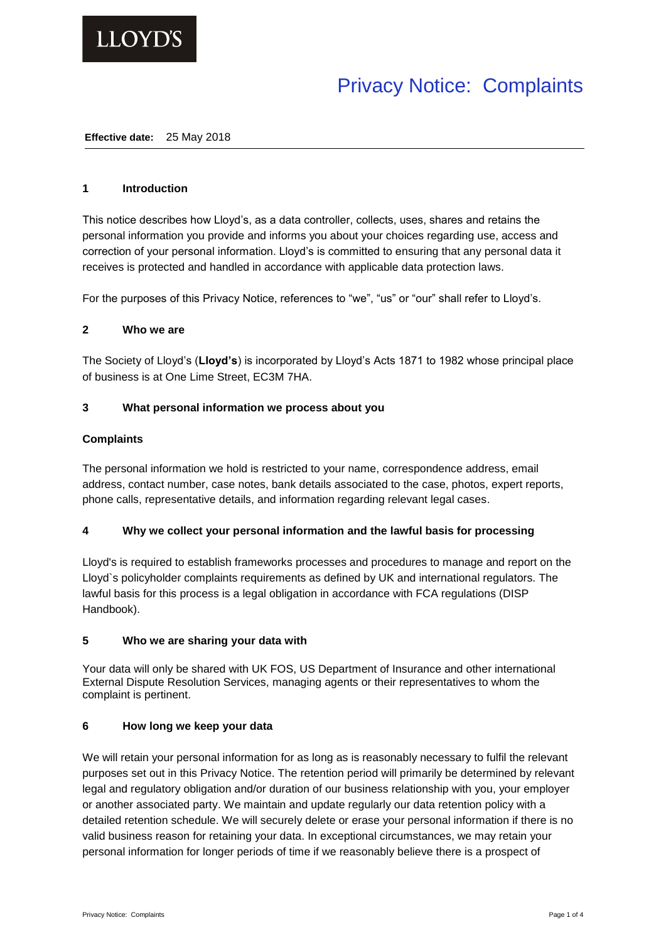

# Privacy Notice: Complaints

#### **Effective date:** 25 May 2018

## **1 Introduction**

This notice describes how Lloyd's, as a data controller, collects, uses, shares and retains the personal information you provide and informs you about your choices regarding use, access and correction of your personal information. Lloyd's is committed to ensuring that any personal data it receives is protected and handled in accordance with applicable data protection laws.

For the purposes of this Privacy Notice, references to "we", "us" or "our" shall refer to Lloyd's.

## **2 Who we are**

The Society of Lloyd's (**Lloyd's**) is incorporated by Lloyd's Acts 1871 to 1982 whose principal place of business is at One Lime Street, EC3M 7HA.

# **3 What personal information we process about you**

# **Complaints**

The personal information we hold is restricted to your name, correspondence address, email address, contact number, case notes, bank details associated to the case, photos, expert reports, phone calls, representative details, and information regarding relevant legal cases.

## **4 Why we collect your personal information and the lawful basis for processing**

Lloyd's is required to establish frameworks processes and procedures to manage and report on the Lloyd`s policyholder complaints requirements as defined by UK and international regulators. The lawful basis for this process is a legal obligation in accordance with FCA regulations (DISP Handbook).

## **5 Who we are sharing your data with**

Your data will only be shared with UK FOS, US Department of Insurance and other international External Dispute Resolution Services, managing agents or their representatives to whom the complaint is pertinent.

## **6 How long we keep your data**

We will retain your personal information for as long as is reasonably necessary to fulfil the relevant purposes set out in this Privacy Notice. The retention period will primarily be determined by relevant legal and regulatory obligation and/or duration of our business relationship with you, your employer or another associated party. We maintain and update regularly our data retention policy with a detailed retention schedule. We will securely delete or erase your personal information if there is no valid business reason for retaining your data. In exceptional circumstances, we may retain your personal information for longer periods of time if we reasonably believe there is a prospect of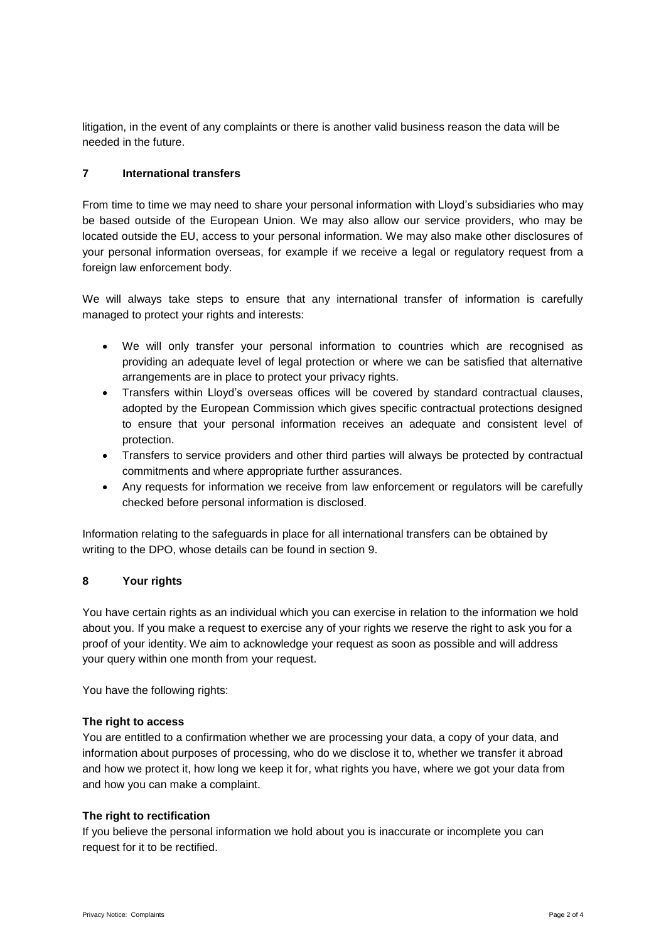litigation, in the event of any complaints or there is another valid business reason the data will be needed in the future.

# **7 International transfers**

From time to time we may need to share your personal information with Lloyd's subsidiaries who may be based outside of the European Union. We may also allow our service providers, who may be located outside the EU, access to your personal information. We may also make other disclosures of your personal information overseas, for example if we receive a legal or regulatory request from a foreign law enforcement body.

We will always take steps to ensure that any international transfer of information is carefully managed to protect your rights and interests:

- We will only transfer your personal information to countries which are recognised as providing an adequate level of legal protection or where we can be satisfied that alternative arrangements are in place to protect your privacy rights.
- Transfers within Lloyd's overseas offices will be covered by standard contractual clauses, adopted by the European Commission which gives specific contractual protections designed to ensure that your personal information receives an adequate and consistent level of protection.
- Transfers to service providers and other third parties will always be protected by contractual commitments and where appropriate further assurances.
- Any requests for information we receive from law enforcement or regulators will be carefully checked before personal information is disclosed.

Information relating to the safeguards in place for all international transfers can be obtained by writing to the DPO, whose details can be found in section 9.

# **8 Your rights**

You have certain rights as an individual which you can exercise in relation to the information we hold about you. If you make a request to exercise any of your rights we reserve the right to ask you for a proof of your identity. We aim to acknowledge your request as soon as possible and will address your query within one month from your request.

You have the following rights:

# **The right to access**

You are entitled to a confirmation whether we are processing your data, a copy of your data, and information about purposes of processing, who do we disclose it to, whether we transfer it abroad and how we protect it, how long we keep it for, what rights you have, where we got your data from and how you can make a complaint.

# **The right to rectification**

If you believe the personal information we hold about you is inaccurate or incomplete you can request for it to be rectified.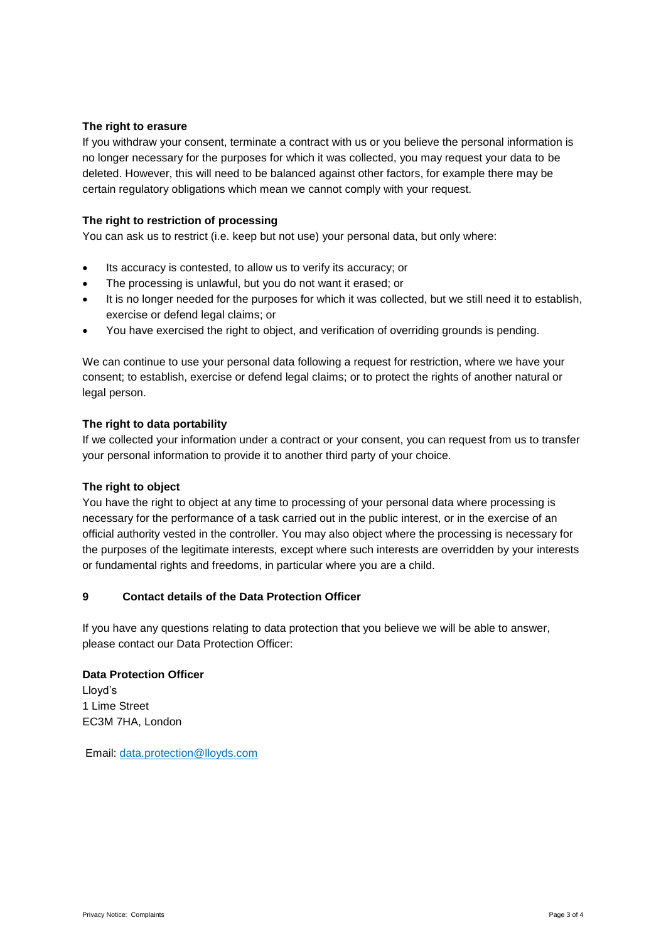# **The right to erasure**

If you withdraw your consent, terminate a contract with us or you believe the personal information is no longer necessary for the purposes for which it was collected, you may request your data to be deleted. However, this will need to be balanced against other factors, for example there may be certain regulatory obligations which mean we cannot comply with your request.

# **The right to restriction of processing**

You can ask us to restrict (i.e. keep but not use) your personal data, but only where:

- Its accuracy is contested, to allow us to verify its accuracy; or
- The processing is unlawful, but you do not want it erased; or
- It is no longer needed for the purposes for which it was collected, but we still need it to establish, exercise or defend legal claims; or
- You have exercised the right to object, and verification of overriding grounds is pending.

We can continue to use your personal data following a request for restriction, where we have your consent; to establish, exercise or defend legal claims; or to protect the rights of another natural or legal person.

# **The right to data portability**

If we collected your information under a contract or your consent, you can request from us to transfer your personal information to provide it to another third party of your choice.

## **The right to object**

You have the right to object at any time to processing of your personal data where processing is necessary for the performance of a task carried out in the public interest, or in the exercise of an official authority vested in the controller. You may also object where the processing is necessary for the purposes of the legitimate interests, except where such interests are overridden by your interests or fundamental rights and freedoms, in particular where you are a child.

# **9 Contact details of the Data Protection Officer**

If you have any questions relating to data protection that you believe we will be able to answer, please contact our Data Protection Officer:

# **Data Protection Officer**

Lloyd's 1 Lime Street EC3M 7HA, London

Email: [data.protection@lloyds.com](mailto:data.protection@lloyds.com)